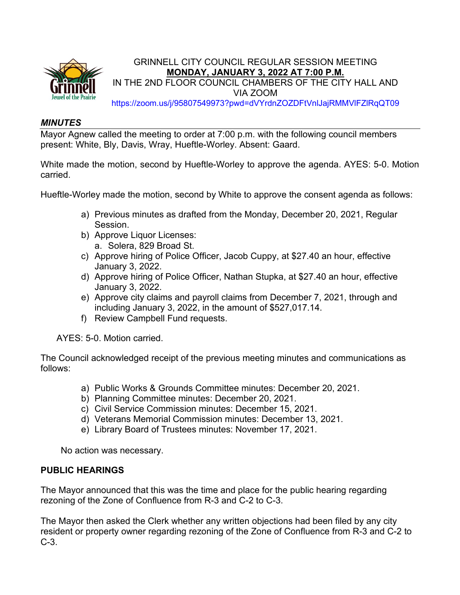

#### *MINUTES*

Mayor Agnew called the meeting to order at 7:00 p.m. with the following council members present: White, Bly, Davis, Wray, Hueftle-Worley. Absent: Gaard.

White made the motion, second by Hueftle-Worley to approve the agenda. AYES: 5-0. Motion carried.

Hueftle-Worley made the motion, second by White to approve the consent agenda as follows:

- a) Previous minutes as drafted from the Monday, December 20, 2021, Regular Session.
- b) Approve Liquor Licenses: a. Solera, 829 Broad St.
- c) Approve hiring of Police Officer, Jacob Cuppy, at \$27.40 an hour, effective January 3, 2022.
- d) Approve hiring of Police Officer, Nathan Stupka, at \$27.40 an hour, effective January 3, 2022.
- e) Approve city claims and payroll claims from December 7, 2021, through and including January 3, 2022, in the amount of \$527,017.14.
- f) Review Campbell Fund requests.

AYES: 5-0. Motion carried.

The Council acknowledged receipt of the previous meeting minutes and communications as follows:

- a) Public Works & Grounds Committee minutes: December 20, 2021.
- b) Planning Committee minutes: December 20, 2021.
- c) Civil Service Commission minutes: December 15, 2021.
- d) Veterans Memorial Commission minutes: December 13, 2021.
- e) Library Board of Trustees minutes: November 17, 2021.

No action was necessary.

#### **PUBLIC HEARINGS**

The Mayor announced that this was the time and place for the public hearing regarding rezoning of the Zone of Confluence from R-3 and C-2 to C-3.

The Mayor then asked the Clerk whether any written objections had been filed by any city resident or property owner regarding rezoning of the Zone of Confluence from R-3 and C-2 to C-3.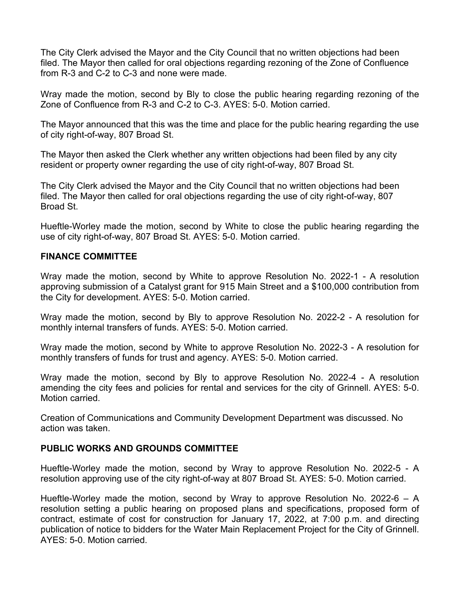The City Clerk advised the Mayor and the City Council that no written objections had been filed. The Mayor then called for oral objections regarding rezoning of the Zone of Confluence from R-3 and C-2 to C-3 and none were made.

Wray made the motion, second by Bly to close the public hearing regarding rezoning of the Zone of Confluence from R-3 and C-2 to C-3. AYES: 5-0. Motion carried.

The Mayor announced that this was the time and place for the public hearing regarding the use of city right-of-way, 807 Broad St.

The Mayor then asked the Clerk whether any written objections had been filed by any city resident or property owner regarding the use of city right-of-way, 807 Broad St.

The City Clerk advised the Mayor and the City Council that no written objections had been filed. The Mayor then called for oral objections regarding the use of city right-of-way, 807 Broad St.

Hueftle-Worley made the motion, second by White to close the public hearing regarding the use of city right-of-way, 807 Broad St. AYES: 5-0. Motion carried.

#### **FINANCE COMMITTEE**

Wray made the motion, second by White to approve Resolution No. 2022-1 - A resolution approving submission of a Catalyst grant for 915 Main Street and a \$100,000 contribution from the City for development. AYES: 5-0. Motion carried.

Wray made the motion, second by Bly to approve Resolution No. 2022-2 - A resolution for monthly internal transfers of funds. AYES: 5-0. Motion carried.

Wray made the motion, second by White to approve Resolution No. 2022-3 - A resolution for monthly transfers of funds for trust and agency. AYES: 5-0. Motion carried.

Wray made the motion, second by Bly to approve Resolution No. 2022-4 - A resolution amending the city fees and policies for rental and services for the city of Grinnell. AYES: 5-0. Motion carried.

Creation of Communications and Community Development Department was discussed. No action was taken.

#### **PUBLIC WORKS AND GROUNDS COMMITTEE**

Hueftle-Worley made the motion, second by Wray to approve Resolution No. 2022-5 - A resolution approving use of the city right-of-way at 807 Broad St. AYES: 5-0. Motion carried.

Hueftle-Worley made the motion, second by Wray to approve Resolution No. 2022-6 – A resolution setting a public hearing on proposed plans and specifications, proposed form of contract, estimate of cost for construction for January 17, 2022, at 7:00 p.m. and directing publication of notice to bidders for the Water Main Replacement Project for the City of Grinnell. AYES: 5-0. Motion carried.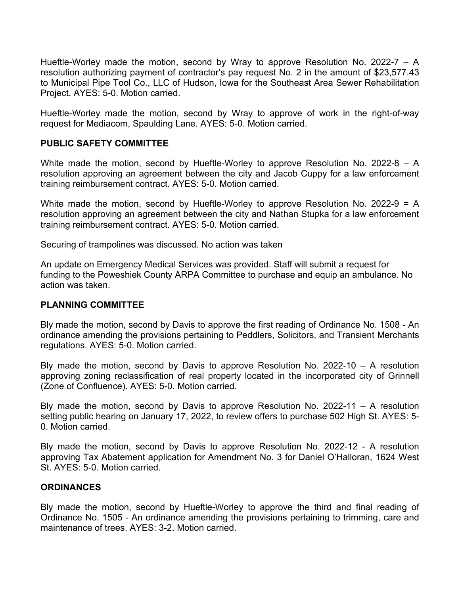Hueftle-Worley made the motion, second by Wray to approve Resolution No. 2022-7 – A resolution authorizing payment of contractor's pay request No. 2 in the amount of \$23,577.43 to Municipal Pipe Tool Co., LLC of Hudson, Iowa for the Southeast Area Sewer Rehabilitation Project. AYES: 5-0. Motion carried.

Hueftle-Worley made the motion, second by Wray to approve of work in the right-of-way request for Mediacom, Spaulding Lane. AYES: 5-0. Motion carried.

## **PUBLIC SAFETY COMMITTEE**

White made the motion, second by Hueftle-Worley to approve Resolution No. 2022-8 – A resolution approving an agreement between the city and Jacob Cuppy for a law enforcement training reimbursement contract. AYES: 5-0. Motion carried.

White made the motion, second by Hueftle-Worley to approve Resolution No. 2022-9 = A resolution approving an agreement between the city and Nathan Stupka for a law enforcement training reimbursement contract. AYES: 5-0. Motion carried.

Securing of trampolines was discussed. No action was taken

An update on Emergency Medical Services was provided. Staff will submit a request for funding to the Poweshiek County ARPA Committee to purchase and equip an ambulance. No action was taken.

## **PLANNING COMMITTEE**

Bly made the motion, second by Davis to approve the first reading of Ordinance No. 1508 - An ordinance amending the provisions pertaining to Peddlers, Solicitors, and Transient Merchants regulations. AYES: 5-0. Motion carried.

Bly made the motion, second by Davis to approve Resolution No. 2022-10 – A resolution approving zoning reclassification of real property located in the incorporated city of Grinnell (Zone of Confluence). AYES: 5-0. Motion carried.

Bly made the motion, second by Davis to approve Resolution No. 2022-11 – A resolution setting public hearing on January 17, 2022, to review offers to purchase 502 High St. AYES: 5- 0. Motion carried.

Bly made the motion, second by Davis to approve Resolution No. 2022-12 - A resolution approving Tax Abatement application for Amendment No. 3 for Daniel O'Halloran, 1624 West St. AYES: 5-0. Motion carried.

## **ORDINANCES**

Bly made the motion, second by Hueftle-Worley to approve the third and final reading of Ordinance No. 1505 - An ordinance amending the provisions pertaining to trimming, care and maintenance of trees. AYES: 3-2. Motion carried.